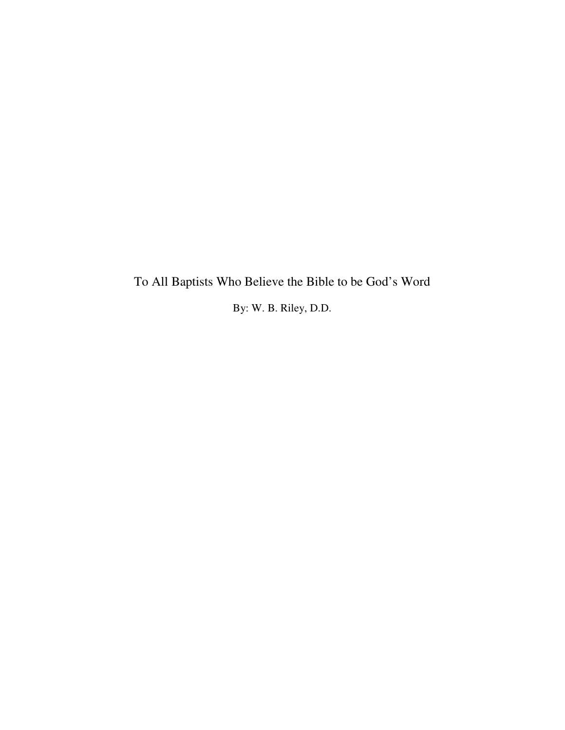To All Baptists Who Believe the Bible to be God's Word

By: W. B. Riley, D.D.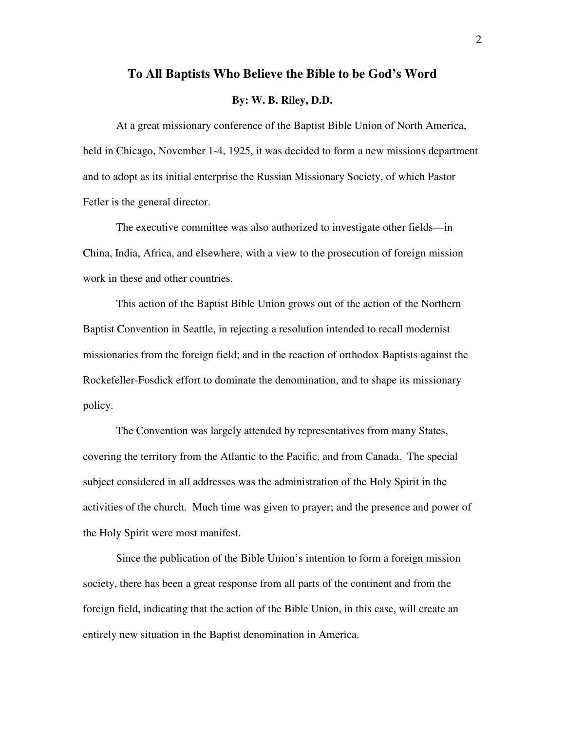## **To All Baptists Who Believe the Bible to be God's Word**

## **By: W. B. Riley, D.D.**

At a great missionary conference of the Baptist Bible Union of North America, held in Chicago, November 1-4, 1925, it was decided to form a new missions department and to adopt as its initial enterprise the Russian Missionary Society, of which Pastor Fetler is the general director.

The executive committee was also authorized to investigate other fields—in China, India, Africa, and elsewhere, with a view to the prosecution of foreign mission work in these and other countries.

This action of the Baptist Bible Union grows out of the action of the Northern Baptist Convention in Seattle, in rejecting a resolution intended to recall modernist missionaries from the foreign field; and in the reaction of orthodox Baptists against the Rockefeller-Fosdick effort to dominate the denomination, and to shape its missionary policy.

The Convention was largely attended by representatives from many States, covering the territory from the Atlantic to the Pacific, and from Canada. The special subject considered in all addresses was the administration of the Holy Spirit in the activities of the church. Much time was given to prayer; and the presence and power of the Holy Spirit were most manifest.

Since the publication of the Bible Union's intention to form a foreign mission society, there has been a great response from all parts of the continent and from the foreign field, indicating that the action of the Bible Union, in this case, will create an entirely new situation in the Baptist denomination in America.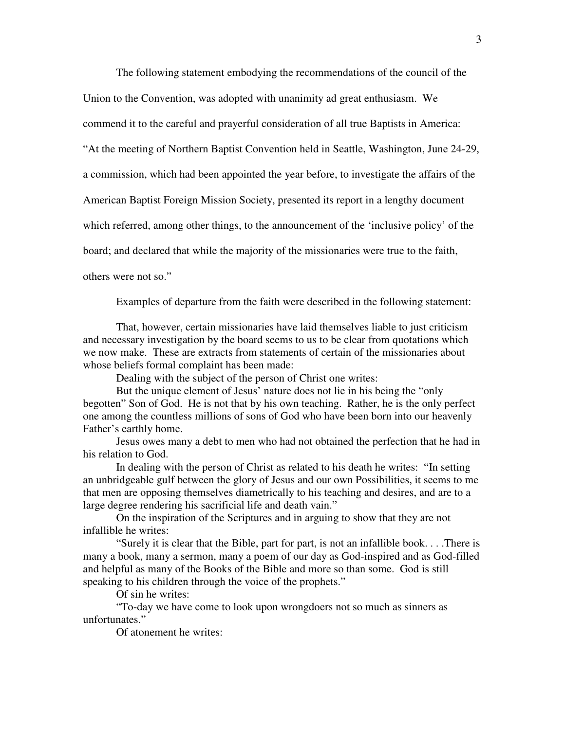The following statement embodying the recommendations of the council of the

Union to the Convention, was adopted with unanimity ad great enthusiasm. We

commend it to the careful and prayerful consideration of all true Baptists in America:

"At the meeting of Northern Baptist Convention held in Seattle, Washington, June 24-29,

a commission, which had been appointed the year before, to investigate the affairs of the

American Baptist Foreign Mission Society, presented its report in a lengthy document

which referred, among other things, to the announcement of the 'inclusive policy' of the

board; and declared that while the majority of the missionaries were true to the faith,

others were not so."

Examples of departure from the faith were described in the following statement:

That, however, certain missionaries have laid themselves liable to just criticism and necessary investigation by the board seems to us to be clear from quotations which we now make. These are extracts from statements of certain of the missionaries about whose beliefs formal complaint has been made:

Dealing with the subject of the person of Christ one writes:

But the unique element of Jesus' nature does not lie in his being the "only begotten" Son of God. He is not that by his own teaching. Rather, he is the only perfect one among the countless millions of sons of God who have been born into our heavenly Father's earthly home.

Jesus owes many a debt to men who had not obtained the perfection that he had in his relation to God.

In dealing with the person of Christ as related to his death he writes: "In setting an unbridgeable gulf between the glory of Jesus and our own Possibilities, it seems to me that men are opposing themselves diametrically to his teaching and desires, and are to a large degree rendering his sacrificial life and death vain."

On the inspiration of the Scriptures and in arguing to show that they are not infallible he writes:

"Surely it is clear that the Bible, part for part, is not an infallible book. . . .There is many a book, many a sermon, many a poem of our day as God-inspired and as God-filled and helpful as many of the Books of the Bible and more so than some. God is still speaking to his children through the voice of the prophets."

Of sin he writes:

"To-day we have come to look upon wrongdoers not so much as sinners as unfortunates."

Of atonement he writes: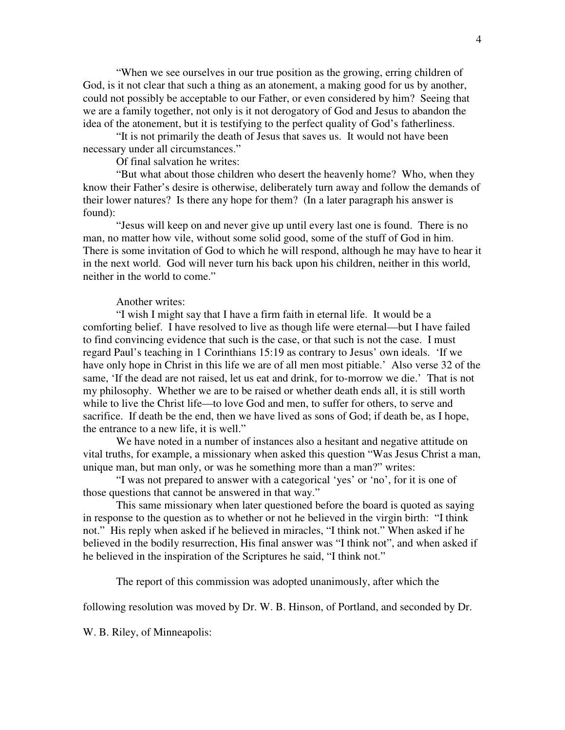"When we see ourselves in our true position as the growing, erring children of God, is it not clear that such a thing as an atonement, a making good for us by another, could not possibly be acceptable to our Father, or even considered by him? Seeing that we are a family together, not only is it not derogatory of God and Jesus to abandon the idea of the atonement, but it is testifying to the perfect quality of God's fatherliness.

"It is not primarily the death of Jesus that saves us. It would not have been necessary under all circumstances."

Of final salvation he writes:

"But what about those children who desert the heavenly home? Who, when they know their Father's desire is otherwise, deliberately turn away and follow the demands of their lower natures? Is there any hope for them? (In a later paragraph his answer is found):

"Jesus will keep on and never give up until every last one is found. There is no man, no matter how vile, without some solid good, some of the stuff of God in him. There is some invitation of God to which he will respond, although he may have to hear it in the next world. God will never turn his back upon his children, neither in this world, neither in the world to come."

## Another writes:

"I wish I might say that I have a firm faith in eternal life. It would be a comforting belief. I have resolved to live as though life were eternal—but I have failed to find convincing evidence that such is the case, or that such is not the case. I must regard Paul's teaching in 1 Corinthians 15:19 as contrary to Jesus' own ideals. 'If we have only hope in Christ in this life we are of all men most pitiable.' Also verse 32 of the same, 'If the dead are not raised, let us eat and drink, for to-morrow we die.' That is not my philosophy. Whether we are to be raised or whether death ends all, it is still worth while to live the Christ life—to love God and men, to suffer for others, to serve and sacrifice. If death be the end, then we have lived as sons of God; if death be, as I hope, the entrance to a new life, it is well."

We have noted in a number of instances also a hesitant and negative attitude on vital truths, for example, a missionary when asked this question "Was Jesus Christ a man, unique man, but man only, or was he something more than a man?" writes:

"I was not prepared to answer with a categorical 'yes' or 'no', for it is one of those questions that cannot be answered in that way."

This same missionary when later questioned before the board is quoted as saying in response to the question as to whether or not he believed in the virgin birth: "I think not." His reply when asked if he believed in miracles, "I think not." When asked if he believed in the bodily resurrection, His final answer was "I think not", and when asked if he believed in the inspiration of the Scriptures he said, "I think not."

The report of this commission was adopted unanimously, after which the

following resolution was moved by Dr. W. B. Hinson, of Portland, and seconded by Dr.

W. B. Riley, of Minneapolis: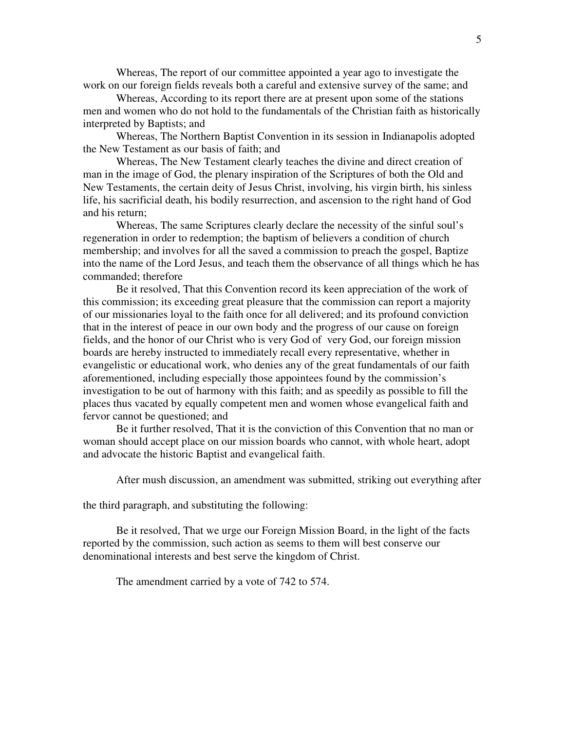Whereas, The report of our committee appointed a year ago to investigate the work on our foreign fields reveals both a careful and extensive survey of the same; and

Whereas, According to its report there are at present upon some of the stations men and women who do not hold to the fundamentals of the Christian faith as historically interpreted by Baptists; and

Whereas, The Northern Baptist Convention in its session in Indianapolis adopted the New Testament as our basis of faith; and

Whereas, The New Testament clearly teaches the divine and direct creation of man in the image of God, the plenary inspiration of the Scriptures of both the Old and New Testaments, the certain deity of Jesus Christ, involving, his virgin birth, his sinless life, his sacrificial death, his bodily resurrection, and ascension to the right hand of God and his return;

Whereas, The same Scriptures clearly declare the necessity of the sinful soul's regeneration in order to redemption; the baptism of believers a condition of church membership; and involves for all the saved a commission to preach the gospel, Baptize into the name of the Lord Jesus, and teach them the observance of all things which he has commanded; therefore

Be it resolved, That this Convention record its keen appreciation of the work of this commission; its exceeding great pleasure that the commission can report a majority of our missionaries loyal to the faith once for all delivered; and its profound conviction that in the interest of peace in our own body and the progress of our cause on foreign fields, and the honor of our Christ who is very God of very God, our foreign mission boards are hereby instructed to immediately recall every representative, whether in evangelistic or educational work, who denies any of the great fundamentals of our faith aforementioned, including especially those appointees found by the commission's investigation to be out of harmony with this faith; and as speedily as possible to fill the places thus vacated by equally competent men and women whose evangelical faith and fervor cannot be questioned; and

Be it further resolved, That it is the conviction of this Convention that no man or woman should accept place on our mission boards who cannot, with whole heart, adopt and advocate the historic Baptist and evangelical faith.

After mush discussion, an amendment was submitted, striking out everything after

the third paragraph, and substituting the following:

Be it resolved, That we urge our Foreign Mission Board, in the light of the facts reported by the commission, such action as seems to them will best conserve our denominational interests and best serve the kingdom of Christ.

The amendment carried by a vote of 742 to 574.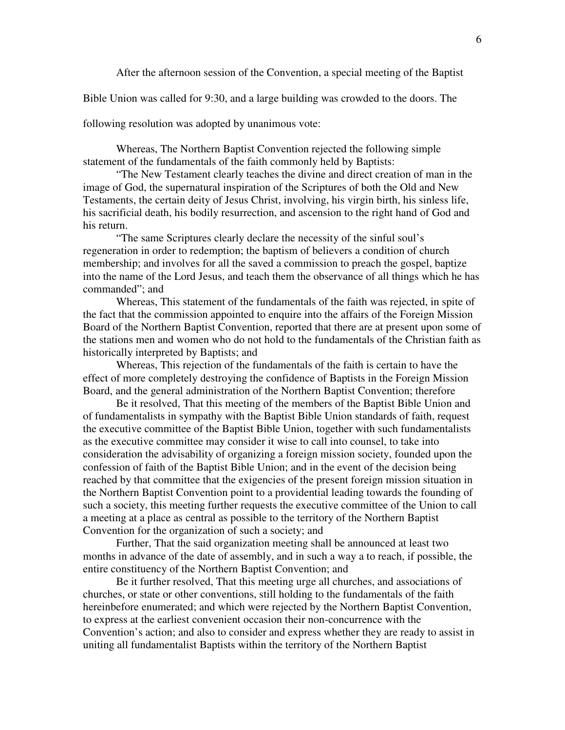After the afternoon session of the Convention, a special meeting of the Baptist

Bible Union was called for 9:30, and a large building was crowded to the doors. The

following resolution was adopted by unanimous vote:

Whereas, The Northern Baptist Convention rejected the following simple statement of the fundamentals of the faith commonly held by Baptists:

"The New Testament clearly teaches the divine and direct creation of man in the image of God, the supernatural inspiration of the Scriptures of both the Old and New Testaments, the certain deity of Jesus Christ, involving, his virgin birth, his sinless life, his sacrificial death, his bodily resurrection, and ascension to the right hand of God and his return.

"The same Scriptures clearly declare the necessity of the sinful soul's regeneration in order to redemption; the baptism of believers a condition of church membership; and involves for all the saved a commission to preach the gospel, baptize into the name of the Lord Jesus, and teach them the observance of all things which he has commanded"; and

Whereas, This statement of the fundamentals of the faith was rejected, in spite of the fact that the commission appointed to enquire into the affairs of the Foreign Mission Board of the Northern Baptist Convention, reported that there are at present upon some of the stations men and women who do not hold to the fundamentals of the Christian faith as historically interpreted by Baptists; and

Whereas, This rejection of the fundamentals of the faith is certain to have the effect of more completely destroying the confidence of Baptists in the Foreign Mission Board, and the general administration of the Northern Baptist Convention; therefore

Be it resolved, That this meeting of the members of the Baptist Bible Union and of fundamentalists in sympathy with the Baptist Bible Union standards of faith, request the executive committee of the Baptist Bible Union, together with such fundamentalists as the executive committee may consider it wise to call into counsel, to take into consideration the advisability of organizing a foreign mission society, founded upon the confession of faith of the Baptist Bible Union; and in the event of the decision being reached by that committee that the exigencies of the present foreign mission situation in the Northern Baptist Convention point to a providential leading towards the founding of such a society, this meeting further requests the executive committee of the Union to call a meeting at a place as central as possible to the territory of the Northern Baptist Convention for the organization of such a society; and

Further, That the said organization meeting shall be announced at least two months in advance of the date of assembly, and in such a way a to reach, if possible, the entire constituency of the Northern Baptist Convention; and

Be it further resolved, That this meeting urge all churches, and associations of churches, or state or other conventions, still holding to the fundamentals of the faith hereinbefore enumerated; and which were rejected by the Northern Baptist Convention, to express at the earliest convenient occasion their non-concurrence with the Convention's action; and also to consider and express whether they are ready to assist in uniting all fundamentalist Baptists within the territory of the Northern Baptist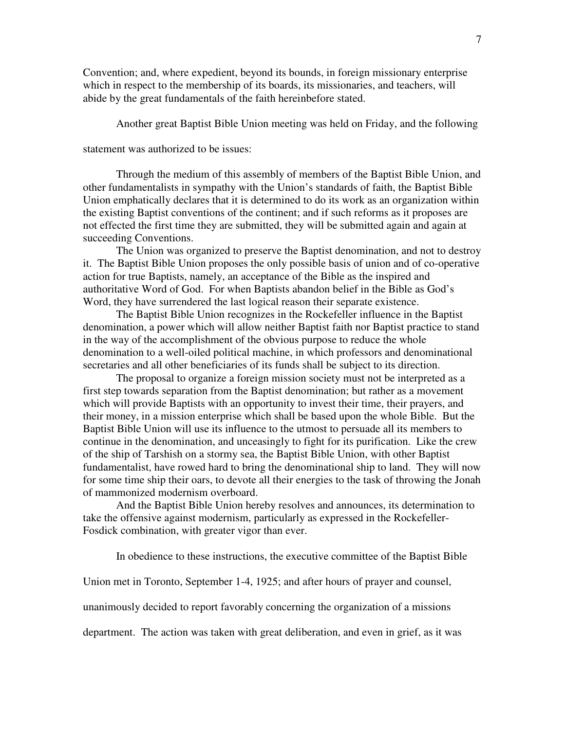Convention; and, where expedient, beyond its bounds, in foreign missionary enterprise which in respect to the membership of its boards, its missionaries, and teachers, will abide by the great fundamentals of the faith hereinbefore stated.

Another great Baptist Bible Union meeting was held on Friday, and the following

statement was authorized to be issues:

Through the medium of this assembly of members of the Baptist Bible Union, and other fundamentalists in sympathy with the Union's standards of faith, the Baptist Bible Union emphatically declares that it is determined to do its work as an organization within the existing Baptist conventions of the continent; and if such reforms as it proposes are not effected the first time they are submitted, they will be submitted again and again at succeeding Conventions.

The Union was organized to preserve the Baptist denomination, and not to destroy it. The Baptist Bible Union proposes the only possible basis of union and of co-operative action for true Baptists, namely, an acceptance of the Bible as the inspired and authoritative Word of God. For when Baptists abandon belief in the Bible as God's Word, they have surrendered the last logical reason their separate existence.

The Baptist Bible Union recognizes in the Rockefeller influence in the Baptist denomination, a power which will allow neither Baptist faith nor Baptist practice to stand in the way of the accomplishment of the obvious purpose to reduce the whole denomination to a well-oiled political machine, in which professors and denominational secretaries and all other beneficiaries of its funds shall be subject to its direction.

The proposal to organize a foreign mission society must not be interpreted as a first step towards separation from the Baptist denomination; but rather as a movement which will provide Baptists with an opportunity to invest their time, their prayers, and their money, in a mission enterprise which shall be based upon the whole Bible. But the Baptist Bible Union will use its influence to the utmost to persuade all its members to continue in the denomination, and unceasingly to fight for its purification. Like the crew of the ship of Tarshish on a stormy sea, the Baptist Bible Union, with other Baptist fundamentalist, have rowed hard to bring the denominational ship to land. They will now for some time ship their oars, to devote all their energies to the task of throwing the Jonah of mammonized modernism overboard.

And the Baptist Bible Union hereby resolves and announces, its determination to take the offensive against modernism, particularly as expressed in the Rockefeller-Fosdick combination, with greater vigor than ever.

In obedience to these instructions, the executive committee of the Baptist Bible

Union met in Toronto, September 1-4, 1925; and after hours of prayer and counsel,

unanimously decided to report favorably concerning the organization of a missions

department. The action was taken with great deliberation, and even in grief, as it was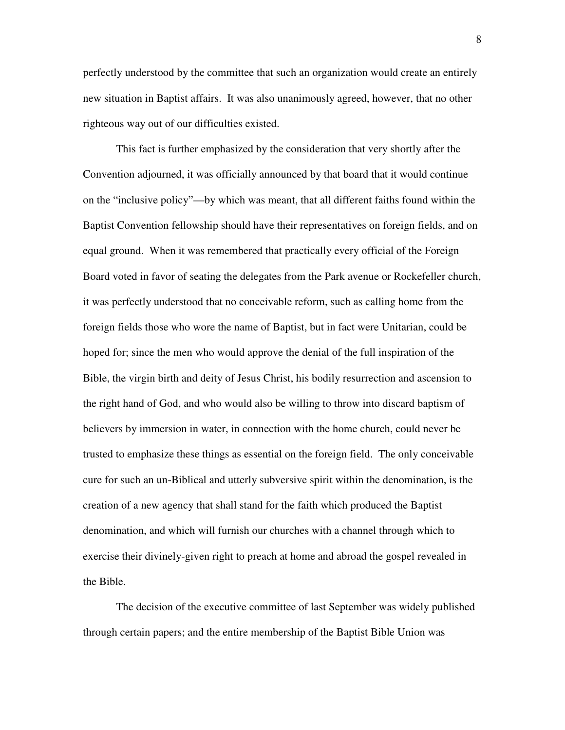perfectly understood by the committee that such an organization would create an entirely new situation in Baptist affairs. It was also unanimously agreed, however, that no other righteous way out of our difficulties existed.

This fact is further emphasized by the consideration that very shortly after the Convention adjourned, it was officially announced by that board that it would continue on the "inclusive policy"—by which was meant, that all different faiths found within the Baptist Convention fellowship should have their representatives on foreign fields, and on equal ground. When it was remembered that practically every official of the Foreign Board voted in favor of seating the delegates from the Park avenue or Rockefeller church, it was perfectly understood that no conceivable reform, such as calling home from the foreign fields those who wore the name of Baptist, but in fact were Unitarian, could be hoped for; since the men who would approve the denial of the full inspiration of the Bible, the virgin birth and deity of Jesus Christ, his bodily resurrection and ascension to the right hand of God, and who would also be willing to throw into discard baptism of believers by immersion in water, in connection with the home church, could never be trusted to emphasize these things as essential on the foreign field. The only conceivable cure for such an un-Biblical and utterly subversive spirit within the denomination, is the creation of a new agency that shall stand for the faith which produced the Baptist denomination, and which will furnish our churches with a channel through which to exercise their divinely-given right to preach at home and abroad the gospel revealed in the Bible.

The decision of the executive committee of last September was widely published through certain papers; and the entire membership of the Baptist Bible Union was

8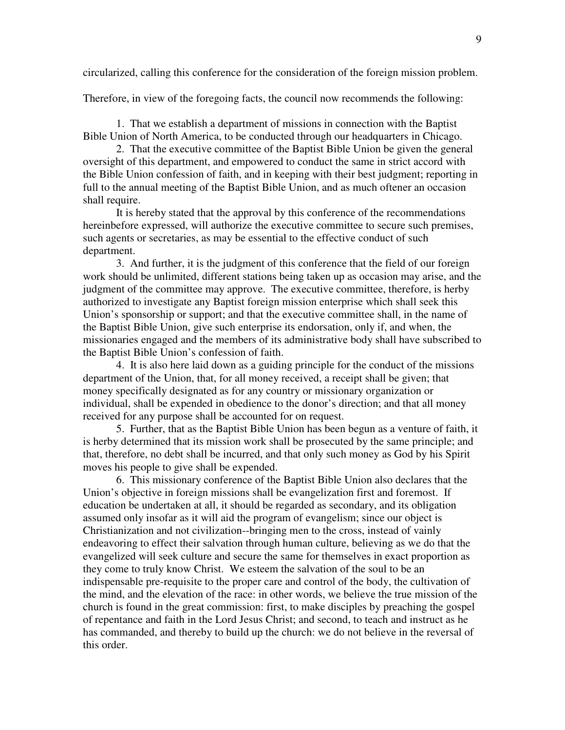circularized, calling this conference for the consideration of the foreign mission problem.

Therefore, in view of the foregoing facts, the council now recommends the following:

1. That we establish a department of missions in connection with the Baptist Bible Union of North America, to be conducted through our headquarters in Chicago.

2. That the executive committee of the Baptist Bible Union be given the general oversight of this department, and empowered to conduct the same in strict accord with the Bible Union confession of faith, and in keeping with their best judgment; reporting in full to the annual meeting of the Baptist Bible Union, and as much oftener an occasion shall require.

It is hereby stated that the approval by this conference of the recommendations hereinbefore expressed, will authorize the executive committee to secure such premises, such agents or secretaries, as may be essential to the effective conduct of such department.

3. And further, it is the judgment of this conference that the field of our foreign work should be unlimited, different stations being taken up as occasion may arise, and the judgment of the committee may approve. The executive committee, therefore, is herby authorized to investigate any Baptist foreign mission enterprise which shall seek this Union's sponsorship or support; and that the executive committee shall, in the name of the Baptist Bible Union, give such enterprise its endorsation, only if, and when, the missionaries engaged and the members of its administrative body shall have subscribed to the Baptist Bible Union's confession of faith.

4. It is also here laid down as a guiding principle for the conduct of the missions department of the Union, that, for all money received, a receipt shall be given; that money specifically designated as for any country or missionary organization or individual, shall be expended in obedience to the donor's direction; and that all money received for any purpose shall be accounted for on request.

5. Further, that as the Baptist Bible Union has been begun as a venture of faith, it is herby determined that its mission work shall be prosecuted by the same principle; and that, therefore, no debt shall be incurred, and that only such money as God by his Spirit moves his people to give shall be expended.

6. This missionary conference of the Baptist Bible Union also declares that the Union's objective in foreign missions shall be evangelization first and foremost. If education be undertaken at all, it should be regarded as secondary, and its obligation assumed only insofar as it will aid the program of evangelism; since our object is Christianization and not civilization--bringing men to the cross, instead of vainly endeavoring to effect their salvation through human culture, believing as we do that the evangelized will seek culture and secure the same for themselves in exact proportion as they come to truly know Christ. We esteem the salvation of the soul to be an indispensable pre-requisite to the proper care and control of the body, the cultivation of the mind, and the elevation of the race: in other words, we believe the true mission of the church is found in the great commission: first, to make disciples by preaching the gospel of repentance and faith in the Lord Jesus Christ; and second, to teach and instruct as he has commanded, and thereby to build up the church: we do not believe in the reversal of this order.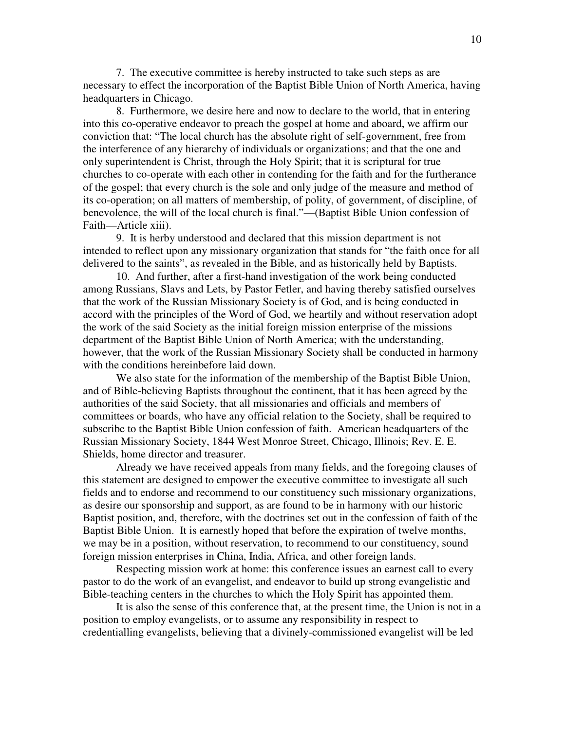7. The executive committee is hereby instructed to take such steps as are necessary to effect the incorporation of the Baptist Bible Union of North America, having headquarters in Chicago.

8. Furthermore, we desire here and now to declare to the world, that in entering into this co-operative endeavor to preach the gospel at home and aboard, we affirm our conviction that: "The local church has the absolute right of self-government, free from the interference of any hierarchy of individuals or organizations; and that the one and only superintendent is Christ, through the Holy Spirit; that it is scriptural for true churches to co-operate with each other in contending for the faith and for the furtherance of the gospel; that every church is the sole and only judge of the measure and method of its co-operation; on all matters of membership, of polity, of government, of discipline, of benevolence, the will of the local church is final."—(Baptist Bible Union confession of Faith—Article xiii).

9. It is herby understood and declared that this mission department is not intended to reflect upon any missionary organization that stands for "the faith once for all delivered to the saints", as revealed in the Bible, and as historically held by Baptists.

10. And further, after a first-hand investigation of the work being conducted among Russians, Slavs and Lets, by Pastor Fetler, and having thereby satisfied ourselves that the work of the Russian Missionary Society is of God, and is being conducted in accord with the principles of the Word of God, we heartily and without reservation adopt the work of the said Society as the initial foreign mission enterprise of the missions department of the Baptist Bible Union of North America; with the understanding, however, that the work of the Russian Missionary Society shall be conducted in harmony with the conditions hereinbefore laid down.

We also state for the information of the membership of the Baptist Bible Union, and of Bible-believing Baptists throughout the continent, that it has been agreed by the authorities of the said Society, that all missionaries and officials and members of committees or boards, who have any official relation to the Society, shall be required to subscribe to the Baptist Bible Union confession of faith. American headquarters of the Russian Missionary Society, 1844 West Monroe Street, Chicago, Illinois; Rev. E. E. Shields, home director and treasurer.

Already we have received appeals from many fields, and the foregoing clauses of this statement are designed to empower the executive committee to investigate all such fields and to endorse and recommend to our constituency such missionary organizations, as desire our sponsorship and support, as are found to be in harmony with our historic Baptist position, and, therefore, with the doctrines set out in the confession of faith of the Baptist Bible Union. It is earnestly hoped that before the expiration of twelve months, we may be in a position, without reservation, to recommend to our constituency, sound foreign mission enterprises in China, India, Africa, and other foreign lands.

Respecting mission work at home: this conference issues an earnest call to every pastor to do the work of an evangelist, and endeavor to build up strong evangelistic and Bible-teaching centers in the churches to which the Holy Spirit has appointed them.

It is also the sense of this conference that, at the present time, the Union is not in a position to employ evangelists, or to assume any responsibility in respect to credentialling evangelists, believing that a divinely-commissioned evangelist will be led